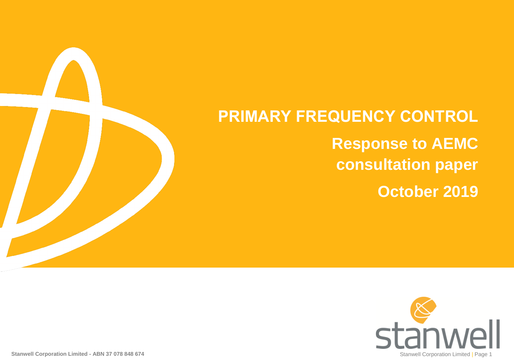

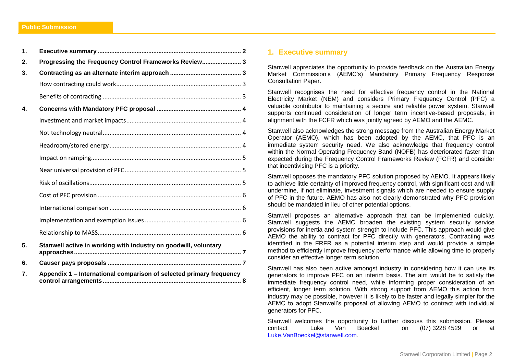| 1.           |                                                                     |  |
|--------------|---------------------------------------------------------------------|--|
| 2.           | Progressing the Frequency Control Frameworks Review 3               |  |
| 3.           |                                                                     |  |
|              |                                                                     |  |
|              |                                                                     |  |
| $\mathbf{4}$ |                                                                     |  |
|              |                                                                     |  |
|              |                                                                     |  |
|              |                                                                     |  |
|              |                                                                     |  |
|              |                                                                     |  |
|              |                                                                     |  |
|              |                                                                     |  |
|              |                                                                     |  |
|              |                                                                     |  |
|              |                                                                     |  |
| 5.           | Stanwell active in working with industry on goodwill, voluntary     |  |
| 6.           |                                                                     |  |
| 7.           | Appendix 1 - International comparison of selected primary frequency |  |

#### <span id="page-1-0"></span>**1. Executive summary**

Stanwell appreciates the opportunity to provide feedback on the Australian Energy Market Commission's (AEMC's) Mandatory Primary Frequency Response Consultation Paper.

Stanwell recognises the need for effective frequency control in the National Electricity Market (NEM) and considers Primary Frequency Control (PFC) a valuable contributor to maintaining a secure and reliable power system. Stanwell supports continued consideration of longer term incentive-based proposals, in alignment with the FCFR which was jointly agreed by AEMO and the AEMC.

Stanwell also acknowledges the strong message from the Australian Energy Market Operator (AEMO), which has been adopted by the AEMC, that PFC is an immediate system security need. We also acknowledge that frequency control within the Normal Operating Frequency Band (NOFB) has deteriorated faster than expected during the Frequency Control Frameworks Review (FCFR) and consider that incentivising PFC is a priority.

Stanwell opposes the mandatory PFC solution proposed by AEMO. It appears likely to achieve little certainty of improved frequency control, with significant cost and will undermine, if not eliminate, investment signals which are needed to ensure supply of PFC in the future. AEMO has also not clearly demonstrated why PFC provision should be mandated in lieu of other potential options.

Stanwell proposes an alternative approach that can be implemented quickly. Stanwell suggests the AEMC broaden the existing system security service provisions for inertia and system strength to include PFC. This approach would give AEMO the ability to contract for PFC directly with generators. Contracting was identified in the FRFR as a potential interim step and would provide a simple method to efficiently improve frequency performance while allowing time to properly consider an effective longer term solution.

Stanwell has also been active amongst industry in considering how it can use its generators to improve PFC on an interim basis. The aim would be to satisfy the immediate frequency control need, while informing proper consideration of an efficient, longer term solution. With strong support from AEMO this action from industry may be possible, however it is likely to be faster and legally simpler for the AEMC to adopt Stanwell's proposal of allowing AEMO to contract with individual generators for PFC.

Stanwell welcomes the opportunity to further discuss this submission. Please contact Luke Van Boeckel on (07) 3228 4529 or at [Luke.VanBoeckel@stanwell.com.](mailto:Luke.VanBoeckel@stanwell.com)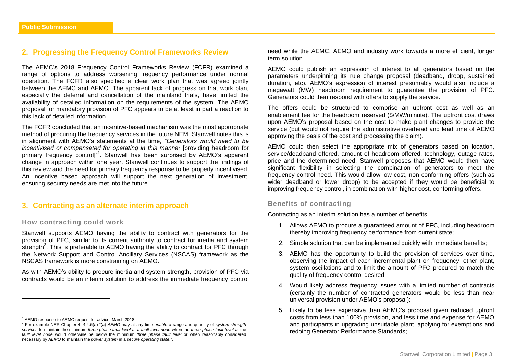## <span id="page-2-0"></span>**2. Progressing the Frequency Control Frameworks Review**

The AEMC's 2018 Frequency Control Frameworks Review (FCFR) examined a range of options to address worsening frequency performance under normal operation. The FCFR also specified a clear work plan that was agreed jointly between the AEMC and AEMO. The apparent lack of progress on that work plan, especially the deferral and cancellation of the mainland trials, have limited the availability of detailed information on the requirements of the system. The AEMO proposal for mandatory provision of PFC appears to be at least in part a reaction to this lack of detailed information.

The FCFR concluded that an incentive-based mechanism was the most appropriate method of procuring the frequency services in the future NEM. Stanwell notes this is in alignment with AEMO's statements at the time, *"Generators would need to be incentivised or compensated for operating in this manne*r [providing headroom for primary frequency control]"<sup>1</sup>. Stanwell has been surprised by AEMO's apparent change in approach within one year. Stanwell continues to support the findings of this review and the need for primary frequency response to be properly incentivised. An incentive based approach will support the next generation of investment, ensuring security needs are met into the future.

# <span id="page-2-1"></span>**3. Contracting as an alternate interim approach**

#### <span id="page-2-2"></span>**How contracting could work**

Stanwell supports AEMO having the ability to contract with generators for the provision of PFC, similar to its current authority to contract for inertia and system strength<sup>2</sup>. This is preferable to AEMO having the ability to contract for PFC through the Network Support and Control Ancillary Services (NSCAS) framework as the NSCAS framework is more constraining on AEMO.

As with AEMO's ability to procure inertia and system strength, provision of PFC via contracts would be an interim solution to address the immediate frequency control

 $\overline{a}$ 

need while the AEMC, AEMO and industry work towards a more efficient, longer term solution.

AEMO could publish an expression of interest to all generators based on the parameters underpinning its rule change proposal (deadband, droop, sustained duration, etc). AEMO's expression of interest presumably would also include a megawatt (MW) headroom requirement to guarantee the provision of PFC. Generators could then respond with offers to supply the service.

The offers could be structured to comprise an upfront cost as well as an enablement fee for the headroom reserved (\$/MW/minute). The upfront cost draws upon AEMO's proposal based on the cost to make plant changes to provide the service (but would not require the administrative overhead and lead time of AEMO approving the basis of the cost and processing the claim).

AEMO could then select the appropriate mix of generators based on location, service/deadband offered, amount of headroom offered, technology, outage rates, price and the determined need. Stanwell proposes that AEMO would then have significant flexibility in selecting the combination of generators to meet the frequency control need. This would allow low cost, non-conforming offers (such as wider deadband or lower droop) to be accepted if they would be beneficial to improving frequency control, in combination with higher cost, conforming offers.

#### <span id="page-2-3"></span>**Benefits of contracting**

Contracting as an interim solution has a number of benefits:

- 1. Allows AEMO to procure a guaranteed amount of PFC, including headroom thereby improving frequency performance from current state;
- 2. Simple solution that can be implemented quickly with immediate benefits;
- 3. AEMO has the opportunity to build the provision of services over time, observing the impact of each incremental plant on frequency, other plant, system oscillations and to limit the amount of PFC procured to match the quality of frequency control desired;
- 4. Would likely address frequency issues with a limited number of contracts (certainly the number of contracted generators would be less than near universal provision under AEMO's proposal);
- 5. Likely to be less expensive than AEMO's proposal given reduced upfront costs from less than 100% provision, and less time and expense for AEMO and participants in upgrading unsuitable plant, applying for exemptions and redoing Generator Performance Standards;

<sup>1</sup> AEMO response to AEMC request for advice, March 2018

<sup>2</sup> For example NER Chapter 4, 4.4.5(a) "(a) *AEMO* may at any time *enable* a range and quantity of *system strength services* to maintain the minimum *three phase fault level* at a *fault level node* when the *three phase fault level* at the *fault level node* would otherwise be below the minimum *three phase fault level* or when reasonably considered necessary by *AEMO* to maintain the *power system* in a *secure operating state*.".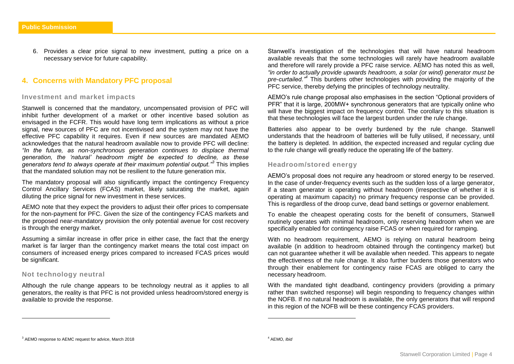6. Provides a clear price signal to new investment, putting a price on a necessary service for future capability.

# <span id="page-3-0"></span>**4. Concerns with Mandatory PFC proposal**

#### <span id="page-3-1"></span>**Investment and market impacts**

Stanwell is concerned that the mandatory, uncompensated provision of PFC will inhibit further development of a market or other incentive based solution as envisaged in the FCFR. This would have long term implications as without a price signal, new sources of PFC are not incentivised and the system may not have the effective PFC capability it requires. Even if new sources are mandated AEMO acknowledges that the natural headroom available now to provide PFC will decline: *"In the future, as non-synchronous generation continues to displace thermal generation, the 'natural' headroom might be expected to decline, as these generators tend to always operate at their maximum potential output."<sup>3</sup>* This implies that the mandated solution may not be resilient to the future generation mix.

The mandatory proposal will also significantly impact the contingency Frequency Control Ancillary Services (FCAS) market, likely saturating the market, again diluting the price signal for new investment in these services.

AEMO note that they expect the providers to adjust their offer prices to compensate for the non-payment for PFC. Given the size of the contingency FCAS markets and the proposed near-mandatory provision the only potential avenue for cost recovery is through the energy market.

Assuming a similar increase in offer price in either case, the fact that the energy market is far larger than the contingency market means the total cost impact on consumers of increased energy prices compared to increased FCAS prices would be significant.

#### <span id="page-3-2"></span>**Not technology neutral**

 $\overline{a}$ 

Although the rule change appears to be technology neutral as it applies to all generators, the reality is that PFC is not provided unless headroom/stored energy is available to provide the response.

Stanwell's investigation of the technologies that will have natural headroom available reveals that the some technologies will rarely have headroom available and therefore will rarely provide a PFC raise service. AEMO has noted this as well, *"in order to actually provide upwards headroom, a solar (or wind) generator must be pre-curtailed."<sup>4</sup>* This burdens other technologies with providing the majority of the PFC service, thereby defying the principles of technology neutrality.

AEMO's rule change proposal also emphasises in the section "Optional providers of PFR" that it is large, 200MW+ synchronous generators that are typically online who will have the biggest impact on frequency control. The corollary to this situation is that these technologies will face the largest burden under the rule change.

Batteries also appear to be overly burdened by the rule change. Stanwell understands that the headroom of batteries will be fully utilised, if necessary, until the battery is depleted. In addition, the expected increased and regular cycling due to the rule change will greatly reduce the operating life of the battery.

#### <span id="page-3-3"></span>**Headroom/stored energy**

AEMO's proposal does not require any headroom or stored energy to be reserved. In the case of under-frequency events such as the sudden loss of a large generator, if a steam generator is operating without headroom (irrespective of whether it is operating at maximum capacity) no primary frequency response can be provided. This is regardless of the droop curve, dead band settings or governor enablement.

To enable the cheapest operating costs for the benefit of consumers, Stanwell routinely operates with minimal headroom, only reserving headroom when we are specifically enabled for contingency raise FCAS or when required for ramping.

With no headroom requirement, AEMO is relying on natural headroom being available (in addition to headroom obtained through the contingency market) but can not guarantee whether it will be available when needed. This appears to negate the effectiveness of the rule change. It also further burdens those generators who through their enablement for contingency raise FCAS are obliged to carry the necessary headroom.

With the mandated tight deadband, contingency providers (providing a primary rather than switched response) will begin responding to frequency changes within the NOFB. If no natural headroom is available, the only generators that will respond in this region of the NOFB will be these contingency FCAS providers.

 $\overline{a}$ 

<sup>3</sup> AEMO response to AEMC request for advice, March 2018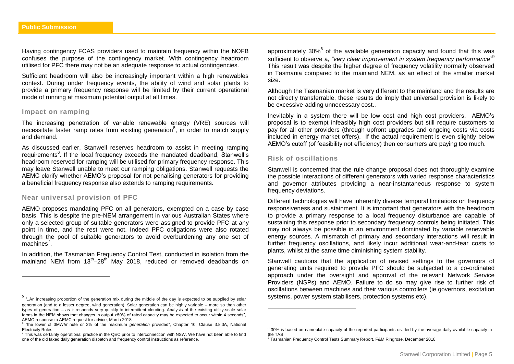Having contingency FCAS providers used to maintain frequency within the NOFB confuses the purpose of the contingency market. With contingency headroom utilised for PFC there may not be an adequate response to actual contingencies.

Sufficient headroom will also be increasingly important within a high renewables context. During under frequency events, the ability of wind and solar plants to provide a primary frequency response will be limited by their current operational mode of running at maximum potential output at all times.

#### <span id="page-4-0"></span>**Impact on ramping**

 $\overline{a}$ 

The increasing penetration of variable renewable energy (VRE) sources will necessitate faster ramp rates from existing generation<sup>5</sup>, in order to match supply and demand.

As discussed earlier, Stanwell reserves headroom to assist in meeting ramping requirements<sup>6</sup>. If the local frequency exceeds the mandated deadband, Stanwell's headroom reserved for ramping will be utilised for primary frequency response. This may leave Stanwell unable to meet our ramping obligations. Stanwell requests the AEMC clarify whether AEMO's proposal for not penalising generators for providing a beneficial frequency response also extends to ramping requirements.

#### <span id="page-4-1"></span>**Near universal provision of PFC**

AEMO proposes mandating PFC on all generators, exempted on a case by case basis. This is despite the pre-NEM arrangement in various Australian States where only a selected group of suitable generators were assigned to provide PFC at any point in time, and the rest were not. Indeed PFC obligations were also rotated through the pool of suitable generators to avoid overburdening any one set of machines<sup>7</sup>.

In addition, the Tasmanian Frequency Control Test, conducted in isolation from the mainland NEM from  $13^{\text{th}} - 28^{\text{th}}$  May 2018, reduced or removed deadbands on

approximately 30% $<sup>8</sup>$  of the available generation capacity and found that this was</sup> sufficient to observe a*, "very clear improvement in system frequency performance*" 9 This result was despite the higher degree of frequency volatility normally observed in Tasmania compared to the mainland NEM, as an effect of the smaller market size.

Although the Tasmanian market is very different to the mainland and the results are not directly transferrable, these results do imply that universal provision is likely to be excessive-adding unnecessary cost..

Inevitably in a system there will be low cost and high cost providers. AEMO's proposal is to exempt infeasibly high cost providers but still require customers to pay for all other providers (through upfront upgrades and ongoing costs via costs included in energy market offers). If the actual requirement is even slightly below AEMO's cutoff (of feasibility not efficiency) then consumers are paying too much.

#### <span id="page-4-2"></span>**Risk of oscillations**

 $\overline{a}$ 

Stanwell is concerned that the rule change proposal does not thoroughly examine the possible interactions of different generators with varied response characteristics and governor attributes providing a near-instantaneous response to system frequency deviations.

Different technologies will have inherently diverse temporal limitations on frequency responsiveness and sustainment. It is important that generators with the headroom to provide a primary response to a local frequency disturbance are capable of sustaining this response prior to secondary frequency controls being initiated. This may not always be possible in an environment dominated by variable renewable energy sources. A mismatch of primary and secondary interactions will result in further frequency oscillations, and likely incur additional wear-and-tear costs to plants, whilst at the same time diminishing system stability.

Stanwell cautions that the application of revised settings to the governors of generating units required to provide PFC should be subjected to a co-ordinated approach under the oversight and approval of the relevant Network Service Providers (NSPs) and AEMO. Failure to do so may give rise to further risk of oscillations between machines and their various controllers (ie governors, excitation systems, power system stabilisers, protection systems etc).

<sup>5</sup> "..An increasing proportion of the generation mix during the middle of the day is expected to be supplied by solar generation (and to a lesser degree, wind generation). Solar generation can be highly variable – more so than other types of generation – as it responds very quickly to intermittent clouding. Analysis of the existing utility-scale solar farms in the NEM shows that changes in output >50% of rated capacity may be expected to occur within 4 seconds", AEMO response to AEMC request for advice, March 2018

<sup>6</sup> "the lower of 3MW/minute or 3% of the maximum *generation* provided", Chapter 10, Clause 3.8.3A, National Electricity Rules

 $^7$  This was certainly operational practice in the QEC prior to interconnection with NSW. We have not been able to find one of the old faxed daily generation dispatch and frequency control instructions as reference.

<sup>&</sup>lt;sup>8</sup> 30% is based on nameplate capacity of the reported participants divided by the average daily available capacity in the TAS

<sup>&</sup>lt;sup>9</sup> Tasmanian Frequency Control Tests Summary Report, F&M Ringrose, December 2018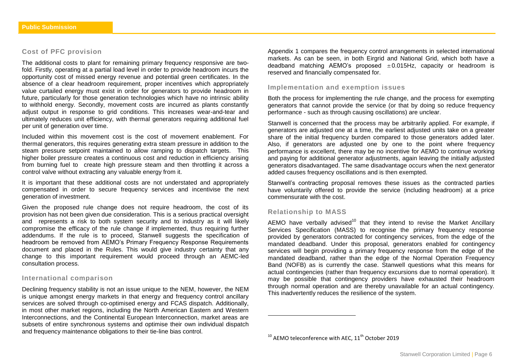#### <span id="page-5-0"></span>**Cost of PFC provision**

The additional costs to plant for remaining primary frequency responsive are twofold. Firstly, operating at a partial load level in order to provide headroom incurs the opportunity cost of missed energy revenue and potential green certificates. In the absence of a clear headroom requirement, proper incentives which appropriately value curtailed energy must exist in order for generators to provide headroom in future, particularly for those generation technologies which have no intrinsic ability to withhold energy. Secondly, movement costs are incurred as plants constantly adjust output in response to grid conditions. This increases wear-and-tear and ultimately reduces unit efficiency, with thermal generators requiring additional fuel per unit of generation over time.

Included within this movement cost is the cost of movement enablement. For thermal generators, this requires generating extra steam pressure in addition to the steam pressure setpoint maintained to allow ramping to dispatch targets. This higher boiler pressure creates a continuous cost and reduction in efficiency arising from burning fuel to create high pressure steam and then throttling it across a control valve without extracting any valuable energy from it.

It is important that these additional costs are not understated and appropriately compensated in order to secure frequency services and incentivise the next generation of investment.

Given the proposed rule change does not require headroom, the cost of its provision has not been given due consideration. This is a serious practical oversight and represents a risk to both system security and to industry as it will likely compromise the efficacy of the rule change if implemented, thus requiring further addendums. If the rule is to proceed. Stanwell suggests the specification of headroom be removed from AEMO's Primary Frequency Response Requirements document and placed in the Rules. This would give industry certainty that any change to this important requirement would proceed through an AEMC-led consultation process.

#### <span id="page-5-1"></span>**International comparison**

Declining frequency stability is not an issue unique to the NEM, however, the NEM is unique amongst energy markets in that energy and frequency control ancillary services are solved through co-optimised energy and FCAS dispatch. Additionally, in most other market regions, including the North American Eastern and Western Interconnections, and the Continental European Interconnection, market areas are subsets of entire synchronous systems and optimise their own individual dispatch and frequency maintenance obligations to their tie-line bias control.

Appendix 1 compares the frequency control arrangements in selected international markets. As can be seen, in both Eirgrid and National Grid, which both have a deadband matching AEMO's proposed  $\pm 0.015$ Hz, capacity or headroom is reserved and financially compensated for.

#### <span id="page-5-2"></span>**Implementation and exemption issues**

Both the process for implementing the rule change, and the process for exempting generators that cannot provide the service (or that by doing so reduce frequency performance - such as through causing oscillations) are unclear.

Stanwell is concerned that the process may be arbitrarily applied. For example, if generators are adjusted one at a time, the earliest adjusted units take on a greater share of the initial frequency burden compared to those generators added later. Also, if generators are adjusted one by one to the point where frequency performance is excellent, there may be no incentive for AEMO to continue working and paying for additional generator adjustments, again leaving the initially adjusted generators disadvantaged. The same disadvantage occurs when the next generator added causes frequency oscillations and is then exempted.

Stanwell's contracting proposal removes these issues as the contracted parties have voluntarily offered to provide the service (including headroom) at a price commensurate with the cost.

#### <span id="page-5-3"></span>**Relationship to MASS**

 $\overline{\phantom{a}}$ 

AEMO have verbally advised<sup>10</sup> that they intend to revise the Market Ancillary Services Specification (MASS) to recognise the primary frequency response provided by generators contracted for contingency services, from the edge of the mandated deadband. Under this proposal, generators enabled for contingency services will begin providing a primary frequency response from the edge of the mandated deadband, rather than the edge of the Normal Operation Frequency Band (NOFB) as is currently the case. Stanwell questions what this means for actual contingencies (rather than frequency excursions due to normal operation). It may be possible that contingency providers have exhausted their headroom through normal operation and are thereby unavailable for an actual contingency. This inadvertently reduces the resilience of the system.

 $10$  AFMO teleconference with AFC,  $11<sup>th</sup>$  October 2019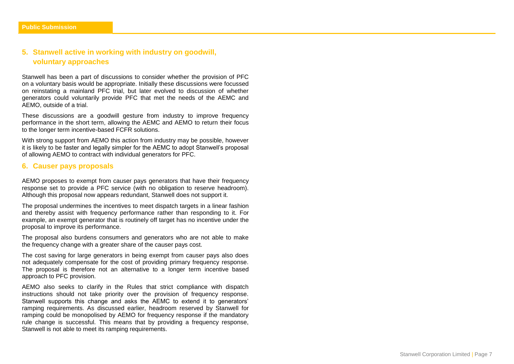# <span id="page-6-0"></span>**5. Stanwell active in working with industry on goodwill, voluntary approaches**

Stanwell has been a part of discussions to consider whether the provision of PFC on a voluntary basis would be appropriate. Initially these discussions were focussed on reinstating a mainland PFC trial, but later evolved to discussion of whether generators could voluntarily provide PFC that met the needs of the AEMC and AEMO, outside of a trial.

These discussions are a goodwill gesture from industry to improve frequency performance in the short term, allowing the AEMC and AEMO to return their focus to the longer term incentive-based FCFR solutions.

With strong support from AEMO this action from industry may be possible, however it is likely to be faster and legally simpler for the AEMC to adopt Stanwell's proposal of allowing AEMO to contract with individual generators for PFC.

### <span id="page-6-1"></span>**6. Causer pays proposals**

AEMO proposes to exempt from causer pays generators that have their frequency response set to provide a PFC service (with no obligation to reserve headroom). Although this proposal now appears redundant, Stanwell does not support it.

The proposal undermines the incentives to meet dispatch targets in a linear fashion and thereby assist with frequency performance rather than responding to it. For example, an exempt generator that is routinely off target has no incentive under the proposal to improve its performance.

The proposal also burdens consumers and generators who are not able to make the frequency change with a greater share of the causer pays cost.

The cost saving for large generators in being exempt from causer pays also does not adequately compensate for the cost of providing primary frequency response. The proposal is therefore not an alternative to a longer term incentive based approach to PFC provision.

AEMO also seeks to clarify in the Rules that strict compliance with dispatch instructions should not take priority over the provision of frequency response. Stanwell supports this change and asks the AEMC to extend it to generators' ramping requirements. As discussed earlier, headroom reserved by Stanwell for ramping could be monopolised by AEMO for frequency response if the mandatory rule change is successful. This means that by providing a frequency response, Stanwell is not able to meet its ramping requirements.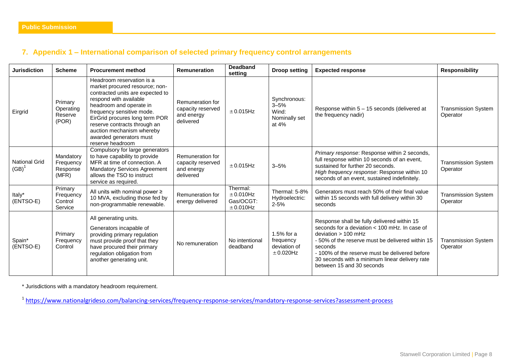# <span id="page-7-0"></span>**7. Appendix 1 – International comparison of selected primary frequency control arrangements**

| <b>Jurisdiction</b>              | <b>Scheme</b>                               | <b>Procurement method</b>                                                                                                                                                                                                                                                                                                       | <b>Remuneration</b>                                              | <b>Deadband</b><br>setting                    | <b>Droop setting</b>                                        | <b>Expected response</b>                                                                                                                                                                                                                                                                                                | <b>Responsibility</b>                  |
|----------------------------------|---------------------------------------------|---------------------------------------------------------------------------------------------------------------------------------------------------------------------------------------------------------------------------------------------------------------------------------------------------------------------------------|------------------------------------------------------------------|-----------------------------------------------|-------------------------------------------------------------|-------------------------------------------------------------------------------------------------------------------------------------------------------------------------------------------------------------------------------------------------------------------------------------------------------------------------|----------------------------------------|
| Eirgrid                          | Primary<br>Operating<br>Reserve<br>(POR)    | Headroom reservation is a<br>market procured resource; non-<br>contracted units are expected to<br>respond with available<br>headroom and operate in<br>frequency sensitive mode.<br>EirGrid procures long term POR<br>reserve contracts through an<br>auction mechanism whereby<br>awarded generators must<br>reserve headroom | Remuneration for<br>capacity reserved<br>and energy<br>delivered | ±0.015Hz                                      | Synchronous:<br>$3 - 5%$<br>Wind:<br>Nominally set<br>at 4% | Response within 5 - 15 seconds (delivered at<br>the frequency nadir)                                                                                                                                                                                                                                                    | <b>Transmission System</b><br>Operator |
| <b>National Grid</b><br>$(GB)^1$ | Mandatory<br>Frequency<br>Response<br>(MFR) | Compulsory for large generators<br>to have capability to provide<br>MFR at time of connection. A<br><b>Mandatory Services Agreement</b><br>allows the TSO to instruct<br>service as required.                                                                                                                                   | Remuneration for<br>capacity reserved<br>and energy<br>delivered | $± 0.015$ Hz                                  | $3 - 5%$                                                    | Primary response: Response within 2 seconds,<br>full response within 10 seconds of an event,<br>sustained for further 20 seconds.<br>High frequency response: Response within 10<br>seconds of an event, sustained indefinitely.                                                                                        | <b>Transmission System</b><br>Operator |
| Italy*<br>(ENTSO-E)              | Primary<br>Frequency<br>Control<br>Service  | All units with nominal power $\geq$<br>10 MVA, excluding those fed by<br>non-programmable renewable.                                                                                                                                                                                                                            | Remuneration for<br>energy delivered                             | Thermal:<br>±0.010Hz<br>Gas/OCGT:<br>±0.010Hz | Thermal: 5-8%<br>Hydroelectric:<br>$2 - 5%$                 | Generators must reach 50% of their final value<br>within 15 seconds with full delivery within 30<br>seconds                                                                                                                                                                                                             | <b>Transmission System</b><br>Operator |
| Spain*<br>(ENTSO-E)              | Primary<br>Frequency<br>Control             | All generating units.<br>Generators incapable of<br>providing primary regulation<br>must provide proof that they<br>have procured their primary<br>regulation obligation from<br>another generating unit.                                                                                                                       | No remuneration                                                  | No intentional<br>deadband                    | $1.5%$ for a<br>frequency<br>deviation of<br>$\pm$ 0.020Hz  | Response shall be fully delivered within 15<br>seconds for a deviation $<$ 100 mHz. In case of<br>deviation $> 100$ mHz<br>- 50% of the reserve must be delivered within 15<br>seconds<br>- 100% of the reserve must be delivered before<br>30 seconds with a minimum linear delivery rate<br>between 15 and 30 seconds | <b>Transmission System</b><br>Operator |

\* Jurisdictions with a mandatory headroom requirement.

<sup>1</sup><https://www.nationalgrideso.com/balancing-services/frequency-response-services/mandatory-response-services?assessment-process>